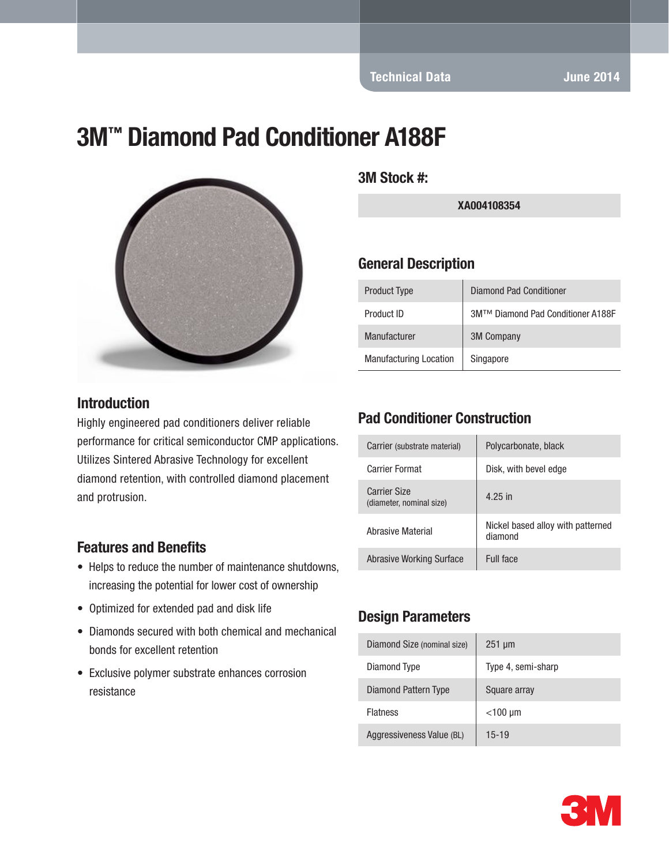# 3M™ Diamond Pad Conditioner A188F



#### **Introduction**

Highly engineered pad conditioners deliver reliable performance for critical semiconductor CMP applications. Utilizes Sintered Abrasive Technology for excellent diamond retention, with controlled diamond placement and protrusion.

#### Features and Benefits

- Helps to reduce the number of maintenance shutdowns, increasing the potential for lower cost of ownership
- Optimized for extended pad and disk life
- Diamonds secured with both chemical and mechanical bonds for excellent retention
- Exclusive polymer substrate enhances corrosion resistance

3M Stock #:

XA004108354

#### General Description

| <b>Product Type</b>           | Diamond Pad Conditioner           |
|-------------------------------|-----------------------------------|
| Product ID                    | 3M™ Diamond Pad Conditioner A188F |
| Manufacturer                  | <b>3M Company</b>                 |
| <b>Manufacturing Location</b> | Singapore                         |

#### Pad Conditioner Construction

| Carrier (substrate material)                    | Polycarbonate, black                         |
|-------------------------------------------------|----------------------------------------------|
| Carrier Format                                  | Disk, with bevel edge                        |
| <b>Carrier Size</b><br>(diameter, nominal size) | 4.25 in                                      |
| Abrasive Material                               | Nickel based alloy with patterned<br>diamond |
| Abrasive Working Surface                        | Full face                                    |

### Design Parameters

| Diamond Size (nominal size) | $251 \mu m$        |
|-----------------------------|--------------------|
| Diamond Type                | Type 4, semi-sharp |
| Diamond Pattern Type        | Square array       |
| <b>Flatness</b>             | $<$ 100 µm         |
| Aggressiveness Value (BL)   | $15 - 19$          |